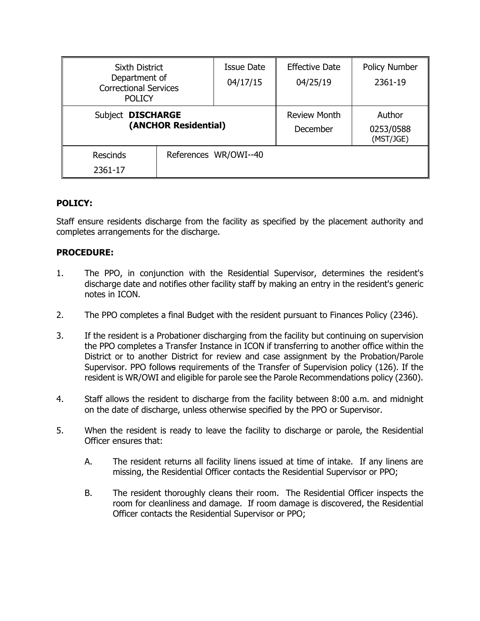| Sixth District<br>Department of<br><b>Correctional Services</b><br><b>POLICY</b> |                       | Issue Date<br>04/17/15          | <b>Effective Date</b><br>04/25/19 | <b>Policy Number</b><br>2361-19 |
|----------------------------------------------------------------------------------|-----------------------|---------------------------------|-----------------------------------|---------------------------------|
| Subject DISCHARGE<br>(ANCHOR Residential)                                        |                       | <b>Review Month</b><br>December | Author<br>0253/0588<br>(MST/JGE)  |                                 |
| <b>Rescinds</b><br>2361-17                                                       | References WR/OWI--40 |                                 |                                   |                                 |

## **POLICY:**

Staff ensure residents discharge from the facility as specified by the placement authority and completes arrangements for the discharge.

## **PROCEDURE:**

- 1. The PPO, in conjunction with the Residential Supervisor, determines the resident's discharge date and notifies other facility staff by making an entry in the resident's generic notes in ICON.
- 2. The PPO completes a final Budget with the resident pursuant to Finances Policy (2346).
- 3. If the resident is a Probationer discharging from the facility but continuing on supervision the PPO completes a Transfer Instance in ICON if transferring to another office within the District or to another District for review and case assignment by the Probation/Parole Supervisor. PPO follows requirements of the Transfer of Supervision policy (126). If the resident is WR/OWI and eligible for parole see the Parole Recommendations policy (2360).
- 4. Staff allows the resident to discharge from the facility between 8:00 a.m. and midnight on the date of discharge, unless otherwise specified by the PPO or Supervisor.
- 5. When the resident is ready to leave the facility to discharge or parole, the Residential Officer ensures that:
	- A. The resident returns all facility linens issued at time of intake. If any linens are missing, the Residential Officer contacts the Residential Supervisor or PPO;
	- B. The resident thoroughly cleans their room. The Residential Officer inspects the room for cleanliness and damage. If room damage is discovered, the Residential Officer contacts the Residential Supervisor or PPO;